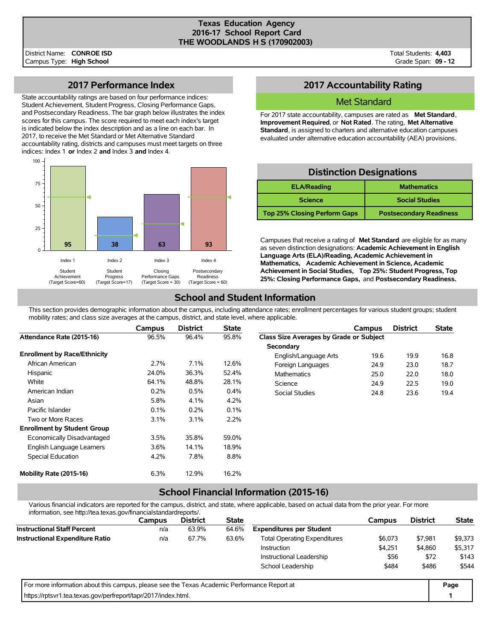#### **Texas Education Agency 2016-17 School Report Card THE WOODLANDS H S (170902003)**

Total Students: **4,403** Grade Span: **09 - 12**

### **2017 Performance Index**

State accountability ratings are based on four performance indices: Student Achievement, Student Progress, Closing Performance Gaps, and Postsecondary Readiness. The bar graph below illustrates the index scores for this campus. The score required to meet each index's target is indicated below the index description and as a line on each bar. In 2017, to receive the Met Standard or Met Alternative Standard accountability rating, districts and campuses must meet targets on three indices: Index 1 **or** Index 2 **and** Index 3 **and** Index 4.



### **2017 Accountability Rating**

#### Met Standard

For 2017 state accountability, campuses are rated as **Met Standard**, **Improvement Required**, or **Not Rated**. The rating, **Met Alternative Standard**, is assigned to charters and alternative education campuses evaluated under alternative education accountability (AEA) provisions.

### **Distinction Designations**

| <b>ELA/Reading</b>                  | <b>Mathematics</b>             |
|-------------------------------------|--------------------------------|
| <b>Science</b>                      | <b>Social Studies</b>          |
| <b>Top 25% Closing Perform Gaps</b> | <b>Postsecondary Readiness</b> |

Campuses that receive a rating of **Met Standard** are eligible for as many as seven distinction designations: **Academic Achievement in English Language Arts (ELA)/Reading, Academic Achievement in Mathematics, Academic Achievement in Science, Academic Achievement in Social Studies, Top 25%: Student Progress, Top 25%: Closing Performance Gaps,** and **Postsecondary Readiness.**

## **School and Student Information**

This section provides demographic information about the campus, including attendance rates; enrollment percentages for various student groups; student mobility rates; and class size averages at the campus, district, and state level, where applicable.

|                                     | <b>Campus</b> | <b>District</b> | <b>State</b> |                                         | Campus | <b>District</b> | <b>State</b> |
|-------------------------------------|---------------|-----------------|--------------|-----------------------------------------|--------|-----------------|--------------|
| Attendance Rate (2015-16)           | 96.5%         | 96.4%           | 95.8%        | Class Size Averages by Grade or Subject |        |                 |              |
|                                     |               |                 |              | Secondary                               |        |                 |              |
| <b>Enrollment by Race/Ethnicity</b> |               |                 |              | English/Language Arts                   | 19.6   | 19.9            | 16.8         |
| African American                    | 2.7%          | 7.1%            | 12.6%        | Foreign Languages                       | 24.9   | 23.0            | 18.7         |
| Hispanic                            | 24.0%         | 36.3%           | 52.4%        | <b>Mathematics</b>                      | 25.0   | 22.0            | 18.0         |
| White                               | 64.1%         | 48.8%           | 28.1%        | Science                                 | 24.9   | 22.5            | 19.0         |
| American Indian                     | 0.2%          | 0.5%            | 0.4%         | Social Studies                          | 24.8   | 23.6            | 19.4         |
| Asian                               | 5.8%          | 4.1%            | 4.2%         |                                         |        |                 |              |
| Pacific Islander                    | 0.1%          | 0.2%            | 0.1%         |                                         |        |                 |              |
| Two or More Races                   | 3.1%          | 3.1%            | 2.2%         |                                         |        |                 |              |
| <b>Enrollment by Student Group</b>  |               |                 |              |                                         |        |                 |              |
| Economically Disadvantaged          | 3.5%          | 35.8%           | 59.0%        |                                         |        |                 |              |
| English Language Learners           | 3.6%          | 14.1%           | 18.9%        |                                         |        |                 |              |
| Special Education                   | 4.2%          | 7.8%            | 8.8%         |                                         |        |                 |              |
| Mobility Rate (2015-16)             | 6.3%          | 12.9%           | 16.2%        |                                         |        |                 |              |

# **School Financial Information (2015-16)**

Various financial indicators are reported for the campus, district, and state, where applicable, based on actual data from the prior year. For more information, see http://tea.texas.gov/financialstandardreports/.

| <u>li liuli laliuli, see Tilip.//lea.lexas.gov/III laliciaisial idalui epolis/.</u>         |        |                 |                                                         |                                 |         |                 |              |  |
|---------------------------------------------------------------------------------------------|--------|-----------------|---------------------------------------------------------|---------------------------------|---------|-----------------|--------------|--|
|                                                                                             | Campus | <b>District</b> | <b>State</b>                                            |                                 | Campus  | <b>District</b> | <b>State</b> |  |
| <b>Instructional Staff Percent</b>                                                          | n/a    | 63.9%           | 64.6%                                                   | <b>Expenditures per Student</b> |         |                 |              |  |
| <b>Instructional Expenditure Ratio</b>                                                      | n/a    | 67.7%           | 63.6%<br><b>Total Operating Expenditures</b><br>\$6,073 |                                 |         |                 | \$9,373      |  |
|                                                                                             |        |                 |                                                         | <b>Instruction</b>              | \$4.251 | \$4,860         | \$5,317      |  |
|                                                                                             |        |                 |                                                         | Instructional Leadership        | \$56    | \$72            | \$143        |  |
|                                                                                             |        |                 |                                                         | School Leadership               | \$484   | \$486           | \$544        |  |
| For more information about this campus, please see the Texas Academic Performance Report at |        |                 |                                                         |                                 |         |                 |              |  |
| https://rptsvr1.tea.texas.gov/perfreport/tapr/2017/index.html.                              |        |                 |                                                         |                                 |         |                 |              |  |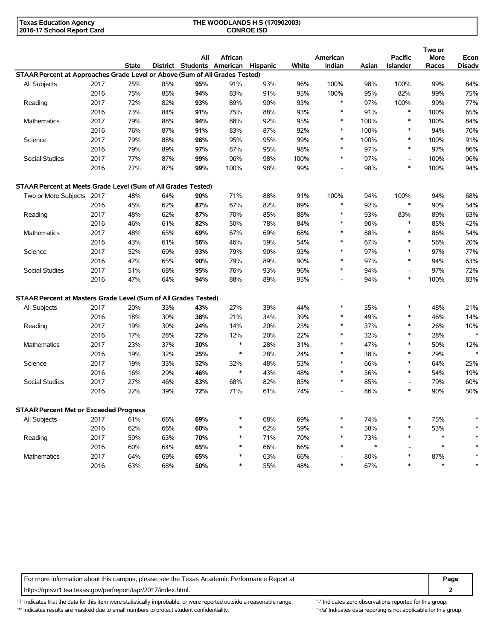| Texas Education Agency     | THE WOODLANDS H S (170902003) |
|----------------------------|-------------------------------|
| 2016-17 School Report Card | <b>CONROE ISD</b>             |

|                                                                             |      |              |     | All |                                                                                                                                                                                                                                                                                                                                                                                                                                                                                                                                                                                                                                                                                                                                                                                                                                                                                                                                                                                                                                                                                                                                                                                                                                                                                                                                                                                                                                                                                                                                                                                                                                                                                                                                                                                                                                                                                                                                                                                                                                                                                                    |     |     |        |        |        | Two or | Econ          |
|-----------------------------------------------------------------------------|------|--------------|-----|-----|----------------------------------------------------------------------------------------------------------------------------------------------------------------------------------------------------------------------------------------------------------------------------------------------------------------------------------------------------------------------------------------------------------------------------------------------------------------------------------------------------------------------------------------------------------------------------------------------------------------------------------------------------------------------------------------------------------------------------------------------------------------------------------------------------------------------------------------------------------------------------------------------------------------------------------------------------------------------------------------------------------------------------------------------------------------------------------------------------------------------------------------------------------------------------------------------------------------------------------------------------------------------------------------------------------------------------------------------------------------------------------------------------------------------------------------------------------------------------------------------------------------------------------------------------------------------------------------------------------------------------------------------------------------------------------------------------------------------------------------------------------------------------------------------------------------------------------------------------------------------------------------------------------------------------------------------------------------------------------------------------------------------------------------------------------------------------------------------------|-----|-----|--------|--------|--------|--------|---------------|
|                                                                             |      | <b>State</b> |     |     |                                                                                                                                                                                                                                                                                                                                                                                                                                                                                                                                                                                                                                                                                                                                                                                                                                                                                                                                                                                                                                                                                                                                                                                                                                                                                                                                                                                                                                                                                                                                                                                                                                                                                                                                                                                                                                                                                                                                                                                                                                                                                                    |     |     |        |        |        |        | <b>Disadv</b> |
| STAAR Percent at Approaches Grade Level or Above (Sum of All Grades Tested) |      |              |     |     |                                                                                                                                                                                                                                                                                                                                                                                                                                                                                                                                                                                                                                                                                                                                                                                                                                                                                                                                                                                                                                                                                                                                                                                                                                                                                                                                                                                                                                                                                                                                                                                                                                                                                                                                                                                                                                                                                                                                                                                                                                                                                                    |     |     |        |        |        |        |               |
| All Subjects                                                                | 2017 | 75%          | 85% | 95% |                                                                                                                                                                                                                                                                                                                                                                                                                                                                                                                                                                                                                                                                                                                                                                                                                                                                                                                                                                                                                                                                                                                                                                                                                                                                                                                                                                                                                                                                                                                                                                                                                                                                                                                                                                                                                                                                                                                                                                                                                                                                                                    |     |     |        |        |        |        | 84%           |
|                                                                             | 2016 | 75%          | 85% | 94% |                                                                                                                                                                                                                                                                                                                                                                                                                                                                                                                                                                                                                                                                                                                                                                                                                                                                                                                                                                                                                                                                                                                                                                                                                                                                                                                                                                                                                                                                                                                                                                                                                                                                                                                                                                                                                                                                                                                                                                                                                                                                                                    |     |     |        |        |        |        | 75%           |
| Reading                                                                     | 2017 | 72%          | 82% | 93% |                                                                                                                                                                                                                                                                                                                                                                                                                                                                                                                                                                                                                                                                                                                                                                                                                                                                                                                                                                                                                                                                                                                                                                                                                                                                                                                                                                                                                                                                                                                                                                                                                                                                                                                                                                                                                                                                                                                                                                                                                                                                                                    |     |     | $\ast$ |        |        |        | 77%           |
|                                                                             | 2016 | 73%          | 84% | 91% | African<br>American<br><b>Pacific</b><br>More<br>District Students American<br>Hispanic<br>White<br>Indian<br>Islander<br>Asian<br>Races<br>91%<br>93%<br>96%<br>100%<br>98%<br>100%<br>99%<br>83%<br>91%<br>95%<br>100%<br>95%<br>82%<br>99%<br>89%<br>90%<br>93%<br>97%<br>100%<br>99%<br>$\ast$<br>$\ast$<br>91%<br>75%<br>88%<br>93%<br>100%<br>88%<br>92%<br>95%<br>$\ast$<br>100%<br>$\ast$<br>100%<br>83%<br>87%<br>92%<br>$\ast$<br>100%<br>$\ast$<br>94%<br>$\ast$<br>95%<br>99%<br>$\ast$<br>100%<br>95%<br>100%<br>97%<br>87%<br>98%<br>$\ast$<br>$\ast$<br>97%<br>95%<br>96%<br>100%<br>$\ast$<br>97%<br>98%<br>100%<br>$\overline{\phantom{a}}$<br>$\ast$<br>99%<br>100%<br>100%<br>98%<br>98%<br>$\overline{a}$<br>71%<br>91%<br>88%<br>100%<br>94%<br>100%<br>94%<br>$\ast$<br>67%<br>82%<br>89%<br>$\ast$<br>92%<br>90%<br>70%<br>85%<br>88%<br>*<br>93%<br>83%<br>89%<br>$\ast$<br>90%<br>50%<br>78%<br>84%<br>*<br>85%<br>$\ast$<br>67%<br>68%<br>$\ast$<br>88%<br>69%<br>86%<br>$\ast$<br>46%<br>59%<br>54%<br>$\ast$<br>67%<br>56%<br>$\ast$<br>93%<br>$\ast$<br>97%<br>97%<br>79%<br>90%<br>$\ast$<br>79%<br>90%<br>$\ast$<br>97%<br>89%<br>94%<br>76%<br>93%<br>96%<br>$\ast$<br>94%<br>97%<br>$\overline{\phantom{a}}$<br>88%<br>95%<br>94%<br>$\ast$<br>100%<br>89%<br>$\overline{\phantom{m}}$<br>27%<br>39%<br>44%<br>*<br>55%<br>$\ast$<br>48%<br>$\ast$<br>39%<br>*<br>49%<br>21%<br>34%<br>46%<br>20%<br>25%<br>*<br>37%<br>$\ast$<br>26%<br>14%<br>12%<br>22%<br>$\ast$<br>32%<br>$\ast$<br>20%<br>28%<br>$\ast$<br>$\ast$<br>*<br>47%<br>28%<br>31%<br>50%<br>$\ast$<br>$\ast$<br>*<br>38%<br>28%<br>24%<br>29%<br>$\ast$<br>32%<br>53%<br>$\ast$<br>66%<br>48%<br>64%<br>$\ast$<br>$\ast$<br>48%<br>$\ast$<br>56%<br>43%<br>54%<br>68%<br>82%<br>85%<br>$\ast$<br>85%<br>79%<br>$\overline{\phantom{a}}$<br>86%<br>$\ast$<br>90%<br>71%<br>61%<br>74%<br>$\overline{\phantom{m}}$<br>69%<br>75%<br>$\ast$<br>68%<br>$\ast$<br>74%<br>$\ast$<br>62%<br>59%<br>58%<br>53%<br>$\ast$<br>$\ast$<br>$\ast$<br>70%<br>$\ast$<br>$\ast$<br>$\ast$<br>71%<br>$\ast$<br>73% | 65% |     |        |        |        |        |               |
| Mathematics                                                                 | 2017 | 79%          | 88% | 94% |                                                                                                                                                                                                                                                                                                                                                                                                                                                                                                                                                                                                                                                                                                                                                                                                                                                                                                                                                                                                                                                                                                                                                                                                                                                                                                                                                                                                                                                                                                                                                                                                                                                                                                                                                                                                                                                                                                                                                                                                                                                                                                    |     |     |        |        |        |        | 84%           |
|                                                                             | 2016 | 76%          | 87% | 91% |                                                                                                                                                                                                                                                                                                                                                                                                                                                                                                                                                                                                                                                                                                                                                                                                                                                                                                                                                                                                                                                                                                                                                                                                                                                                                                                                                                                                                                                                                                                                                                                                                                                                                                                                                                                                                                                                                                                                                                                                                                                                                                    |     |     |        |        |        |        | 70%           |
| Science                                                                     | 2017 | 79%          | 88% | 98% |                                                                                                                                                                                                                                                                                                                                                                                                                                                                                                                                                                                                                                                                                                                                                                                                                                                                                                                                                                                                                                                                                                                                                                                                                                                                                                                                                                                                                                                                                                                                                                                                                                                                                                                                                                                                                                                                                                                                                                                                                                                                                                    |     |     |        |        |        |        | 91%           |
|                                                                             | 2016 | 79%          | 89% | 97% |                                                                                                                                                                                                                                                                                                                                                                                                                                                                                                                                                                                                                                                                                                                                                                                                                                                                                                                                                                                                                                                                                                                                                                                                                                                                                                                                                                                                                                                                                                                                                                                                                                                                                                                                                                                                                                                                                                                                                                                                                                                                                                    |     |     |        |        |        |        | 86%           |
| Social Studies                                                              | 2017 | 77%          | 87% | 99% |                                                                                                                                                                                                                                                                                                                                                                                                                                                                                                                                                                                                                                                                                                                                                                                                                                                                                                                                                                                                                                                                                                                                                                                                                                                                                                                                                                                                                                                                                                                                                                                                                                                                                                                                                                                                                                                                                                                                                                                                                                                                                                    |     |     |        |        |        |        | 96%           |
|                                                                             | 2016 | 77%          | 87% | 99% |                                                                                                                                                                                                                                                                                                                                                                                                                                                                                                                                                                                                                                                                                                                                                                                                                                                                                                                                                                                                                                                                                                                                                                                                                                                                                                                                                                                                                                                                                                                                                                                                                                                                                                                                                                                                                                                                                                                                                                                                                                                                                                    |     |     |        |        |        |        | 94%           |
| STAAR Percent at Meets Grade Level (Sum of All Grades Tested)               |      |              |     |     |                                                                                                                                                                                                                                                                                                                                                                                                                                                                                                                                                                                                                                                                                                                                                                                                                                                                                                                                                                                                                                                                                                                                                                                                                                                                                                                                                                                                                                                                                                                                                                                                                                                                                                                                                                                                                                                                                                                                                                                                                                                                                                    |     |     |        |        |        |        |               |
| Two or More Subjects 2017                                                   |      | 48%          | 64% | 90% |                                                                                                                                                                                                                                                                                                                                                                                                                                                                                                                                                                                                                                                                                                                                                                                                                                                                                                                                                                                                                                                                                                                                                                                                                                                                                                                                                                                                                                                                                                                                                                                                                                                                                                                                                                                                                                                                                                                                                                                                                                                                                                    |     |     |        |        |        |        | 68%           |
|                                                                             | 2016 | 45%          | 62% | 87% |                                                                                                                                                                                                                                                                                                                                                                                                                                                                                                                                                                                                                                                                                                                                                                                                                                                                                                                                                                                                                                                                                                                                                                                                                                                                                                                                                                                                                                                                                                                                                                                                                                                                                                                                                                                                                                                                                                                                                                                                                                                                                                    |     |     |        |        |        |        | 54%           |
| Reading                                                                     | 2017 | 48%          | 62% | 87% |                                                                                                                                                                                                                                                                                                                                                                                                                                                                                                                                                                                                                                                                                                                                                                                                                                                                                                                                                                                                                                                                                                                                                                                                                                                                                                                                                                                                                                                                                                                                                                                                                                                                                                                                                                                                                                                                                                                                                                                                                                                                                                    |     |     |        |        |        |        | 63%           |
|                                                                             | 2016 | 46%          | 61% | 82% |                                                                                                                                                                                                                                                                                                                                                                                                                                                                                                                                                                                                                                                                                                                                                                                                                                                                                                                                                                                                                                                                                                                                                                                                                                                                                                                                                                                                                                                                                                                                                                                                                                                                                                                                                                                                                                                                                                                                                                                                                                                                                                    |     |     |        |        |        |        | 42%           |
| Mathematics                                                                 | 2017 | 48%          | 65% | 69% |                                                                                                                                                                                                                                                                                                                                                                                                                                                                                                                                                                                                                                                                                                                                                                                                                                                                                                                                                                                                                                                                                                                                                                                                                                                                                                                                                                                                                                                                                                                                                                                                                                                                                                                                                                                                                                                                                                                                                                                                                                                                                                    |     |     |        |        |        |        | 54%           |
|                                                                             | 2016 | 43%          | 61% | 56% |                                                                                                                                                                                                                                                                                                                                                                                                                                                                                                                                                                                                                                                                                                                                                                                                                                                                                                                                                                                                                                                                                                                                                                                                                                                                                                                                                                                                                                                                                                                                                                                                                                                                                                                                                                                                                                                                                                                                                                                                                                                                                                    |     |     |        |        |        |        | 20%           |
| Science                                                                     | 2017 | 52%          | 69% | 93% |                                                                                                                                                                                                                                                                                                                                                                                                                                                                                                                                                                                                                                                                                                                                                                                                                                                                                                                                                                                                                                                                                                                                                                                                                                                                                                                                                                                                                                                                                                                                                                                                                                                                                                                                                                                                                                                                                                                                                                                                                                                                                                    |     |     |        |        |        |        | 77%           |
|                                                                             | 2016 | 47%          | 65% | 90% |                                                                                                                                                                                                                                                                                                                                                                                                                                                                                                                                                                                                                                                                                                                                                                                                                                                                                                                                                                                                                                                                                                                                                                                                                                                                                                                                                                                                                                                                                                                                                                                                                                                                                                                                                                                                                                                                                                                                                                                                                                                                                                    |     |     |        |        |        |        | 63%           |
| Social Studies                                                              | 2017 | 51%          | 68% | 95% |                                                                                                                                                                                                                                                                                                                                                                                                                                                                                                                                                                                                                                                                                                                                                                                                                                                                                                                                                                                                                                                                                                                                                                                                                                                                                                                                                                                                                                                                                                                                                                                                                                                                                                                                                                                                                                                                                                                                                                                                                                                                                                    |     |     |        |        |        |        | 72%           |
|                                                                             | 2016 | 47%          | 64% | 94% |                                                                                                                                                                                                                                                                                                                                                                                                                                                                                                                                                                                                                                                                                                                                                                                                                                                                                                                                                                                                                                                                                                                                                                                                                                                                                                                                                                                                                                                                                                                                                                                                                                                                                                                                                                                                                                                                                                                                                                                                                                                                                                    |     |     |        |        |        |        | 83%           |
| STAAR Percent at Masters Grade Level (Sum of All Grades Tested)             |      |              |     |     |                                                                                                                                                                                                                                                                                                                                                                                                                                                                                                                                                                                                                                                                                                                                                                                                                                                                                                                                                                                                                                                                                                                                                                                                                                                                                                                                                                                                                                                                                                                                                                                                                                                                                                                                                                                                                                                                                                                                                                                                                                                                                                    |     |     |        |        |        |        |               |
| All Subjects                                                                | 2017 | 20%          | 33% | 43% |                                                                                                                                                                                                                                                                                                                                                                                                                                                                                                                                                                                                                                                                                                                                                                                                                                                                                                                                                                                                                                                                                                                                                                                                                                                                                                                                                                                                                                                                                                                                                                                                                                                                                                                                                                                                                                                                                                                                                                                                                                                                                                    |     |     |        |        |        |        | 21%           |
|                                                                             | 2016 | 18%          | 30% | 38% |                                                                                                                                                                                                                                                                                                                                                                                                                                                                                                                                                                                                                                                                                                                                                                                                                                                                                                                                                                                                                                                                                                                                                                                                                                                                                                                                                                                                                                                                                                                                                                                                                                                                                                                                                                                                                                                                                                                                                                                                                                                                                                    |     |     |        |        |        |        | 14%           |
| Reading                                                                     | 2017 | 19%          | 30% | 24% |                                                                                                                                                                                                                                                                                                                                                                                                                                                                                                                                                                                                                                                                                                                                                                                                                                                                                                                                                                                                                                                                                                                                                                                                                                                                                                                                                                                                                                                                                                                                                                                                                                                                                                                                                                                                                                                                                                                                                                                                                                                                                                    |     |     |        |        |        |        | 10%           |
|                                                                             | 2016 | 17%          | 28% | 22% |                                                                                                                                                                                                                                                                                                                                                                                                                                                                                                                                                                                                                                                                                                                                                                                                                                                                                                                                                                                                                                                                                                                                                                                                                                                                                                                                                                                                                                                                                                                                                                                                                                                                                                                                                                                                                                                                                                                                                                                                                                                                                                    |     |     |        |        |        |        | $\ast$        |
| Mathematics                                                                 | 2017 | 23%          | 37% | 30% |                                                                                                                                                                                                                                                                                                                                                                                                                                                                                                                                                                                                                                                                                                                                                                                                                                                                                                                                                                                                                                                                                                                                                                                                                                                                                                                                                                                                                                                                                                                                                                                                                                                                                                                                                                                                                                                                                                                                                                                                                                                                                                    |     |     |        |        |        |        | 12%           |
|                                                                             | 2016 | 19%          | 32% | 25% |                                                                                                                                                                                                                                                                                                                                                                                                                                                                                                                                                                                                                                                                                                                                                                                                                                                                                                                                                                                                                                                                                                                                                                                                                                                                                                                                                                                                                                                                                                                                                                                                                                                                                                                                                                                                                                                                                                                                                                                                                                                                                                    |     |     |        |        |        |        | $\ast$        |
| Science                                                                     | 2017 | 19%          | 33% | 52% |                                                                                                                                                                                                                                                                                                                                                                                                                                                                                                                                                                                                                                                                                                                                                                                                                                                                                                                                                                                                                                                                                                                                                                                                                                                                                                                                                                                                                                                                                                                                                                                                                                                                                                                                                                                                                                                                                                                                                                                                                                                                                                    |     |     |        |        |        |        | 25%           |
|                                                                             | 2016 | 16%          | 29% | 46% |                                                                                                                                                                                                                                                                                                                                                                                                                                                                                                                                                                                                                                                                                                                                                                                                                                                                                                                                                                                                                                                                                                                                                                                                                                                                                                                                                                                                                                                                                                                                                                                                                                                                                                                                                                                                                                                                                                                                                                                                                                                                                                    |     |     |        |        |        |        | 19%           |
| Social Studies                                                              | 2017 | 27%          | 46% | 83% |                                                                                                                                                                                                                                                                                                                                                                                                                                                                                                                                                                                                                                                                                                                                                                                                                                                                                                                                                                                                                                                                                                                                                                                                                                                                                                                                                                                                                                                                                                                                                                                                                                                                                                                                                                                                                                                                                                                                                                                                                                                                                                    |     |     |        |        |        |        | 60%           |
|                                                                             | 2016 | 22%          | 39% | 72% |                                                                                                                                                                                                                                                                                                                                                                                                                                                                                                                                                                                                                                                                                                                                                                                                                                                                                                                                                                                                                                                                                                                                                                                                                                                                                                                                                                                                                                                                                                                                                                                                                                                                                                                                                                                                                                                                                                                                                                                                                                                                                                    |     |     |        |        |        |        | 50%           |
| STAAR Percent Met or Exceeded Progress                                      |      |              |     |     |                                                                                                                                                                                                                                                                                                                                                                                                                                                                                                                                                                                                                                                                                                                                                                                                                                                                                                                                                                                                                                                                                                                                                                                                                                                                                                                                                                                                                                                                                                                                                                                                                                                                                                                                                                                                                                                                                                                                                                                                                                                                                                    |     |     |        |        |        |        |               |
| All Subjects                                                                | 2017 | 61%          | 66% | 69% |                                                                                                                                                                                                                                                                                                                                                                                                                                                                                                                                                                                                                                                                                                                                                                                                                                                                                                                                                                                                                                                                                                                                                                                                                                                                                                                                                                                                                                                                                                                                                                                                                                                                                                                                                                                                                                                                                                                                                                                                                                                                                                    |     |     |        |        |        |        |               |
|                                                                             | 2016 | 62%          | 66% | 60% |                                                                                                                                                                                                                                                                                                                                                                                                                                                                                                                                                                                                                                                                                                                                                                                                                                                                                                                                                                                                                                                                                                                                                                                                                                                                                                                                                                                                                                                                                                                                                                                                                                                                                                                                                                                                                                                                                                                                                                                                                                                                                                    |     |     |        |        |        |        |               |
| Reading                                                                     | 2017 | 59%          | 63% | 70% |                                                                                                                                                                                                                                                                                                                                                                                                                                                                                                                                                                                                                                                                                                                                                                                                                                                                                                                                                                                                                                                                                                                                                                                                                                                                                                                                                                                                                                                                                                                                                                                                                                                                                                                                                                                                                                                                                                                                                                                                                                                                                                    |     |     |        |        |        |        | $\ast$        |
|                                                                             | 2016 | 60%          | 64% | 65% | $\ast$                                                                                                                                                                                                                                                                                                                                                                                                                                                                                                                                                                                                                                                                                                                                                                                                                                                                                                                                                                                                                                                                                                                                                                                                                                                                                                                                                                                                                                                                                                                                                                                                                                                                                                                                                                                                                                                                                                                                                                                                                                                                                             | 66% | 66% | $\ast$ | $\ast$ |        | $\ast$ | $\ast$        |
| Mathematics                                                                 | 2017 | 64%          | 69% | 65% | $\ast$                                                                                                                                                                                                                                                                                                                                                                                                                                                                                                                                                                                                                                                                                                                                                                                                                                                                                                                                                                                                                                                                                                                                                                                                                                                                                                                                                                                                                                                                                                                                                                                                                                                                                                                                                                                                                                                                                                                                                                                                                                                                                             | 63% | 66% |        | 80%    | $\ast$ | 87%    | $\ast$        |
|                                                                             | 2016 | 63%          | 68% | 50% | $\ast$                                                                                                                                                                                                                                                                                                                                                                                                                                                                                                                                                                                                                                                                                                                                                                                                                                                                                                                                                                                                                                                                                                                                                                                                                                                                                                                                                                                                                                                                                                                                                                                                                                                                                                                                                                                                                                                                                                                                                                                                                                                                                             | 55% | 48% | $\ast$ | 67%    | $\ast$ | $\ast$ | $\ast$        |

For more information about this campus, please see the Texas Academic Performance Report at **Page Page** https://rptsvr1.tea.texas.gov/perfreport/tapr/2017/index.html. **2**

'?' Indicates that the data for this item were statistically improbable, or were reported outside a reasonable range. '-' Indicates zero observations reported for this group. \*' Indicates results are masked due to small numbers to protect student confidentiality. Ma' Indicates data reporting is not applicable for this group.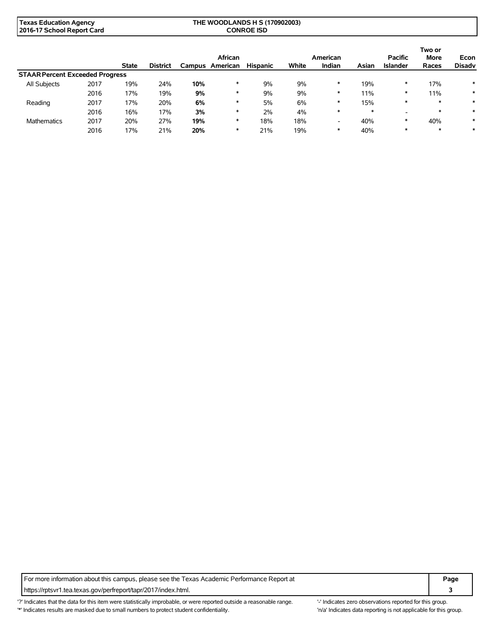| Texas Education Agency     | THE WOODLANDS H S (170902003) |  |
|----------------------------|-------------------------------|--|
| 2016-17 School Report Card | <b>CONROE ISD</b>             |  |

|                                        |      |              |                 |        | African  |                 |       | American                 |        | <b>Pacific</b>  | Two or<br><b>More</b> | Econ          |
|----------------------------------------|------|--------------|-----------------|--------|----------|-----------------|-------|--------------------------|--------|-----------------|-----------------------|---------------|
|                                        |      | <b>State</b> | <b>District</b> | Campus | American | <b>Hispanic</b> | White | Indian                   | Asian  | <b>Islander</b> | Races                 | <b>Disadv</b> |
| <b>STAAR Percent Exceeded Progress</b> |      |              |                 |        |          |                 |       |                          |        |                 |                       |               |
| All Subjects                           | 2017 | 19%          | 24%             | 10%    | ∗        | 9%              | 9%    | ∗                        | 19%    | ∗               | 17%                   | $\ast$        |
|                                        | 2016 | 17%          | 19%             | 9%     | $\ast$   | 9%              | 9%    | ∗                        | 11%    | $\ast$          | 11%                   | $\ast$        |
| Reading                                | 2017 | 17%          | 20%             | 6%     | $\ast$   | 5%              | 6%    | ∗                        | 15%    | $\ast$          | $\ast$                | $\ast$        |
|                                        | 2016 | 16%          | 17%             | 3%     | ∗        | 2%              | 4%    | $\ast$                   | $\ast$ | -               | $\ast$                | $\ast$        |
| <b>Mathematics</b>                     | 2017 | 20%          | 27%             | 19%    | ∗        | 18%             | 18%   | $\overline{\phantom{0}}$ | 40%    | $\ast$          | 40%                   | $\ast$        |
|                                        | 2016 | 17%          | 21%             | 20%    | ∗        | 21%             | 19%   | ∗                        | 40%    | ∗               | $\ast$                | $\ast$        |

For more information about this campus, please see the Texas Academic Performance Report at **Page Page** https://rptsvr1.tea.texas.gov/perfreport/tapr/2017/index.html. **3**

'?' Indicates that the data for this item were statistically improbable, or were reported outside a reasonable range. "Indicates zero observations reported for this group. '\*' Indicates results are masked due to small numbers to protect student confidentiality. 'n/a' Indicates data reporting is not applicable for this group.